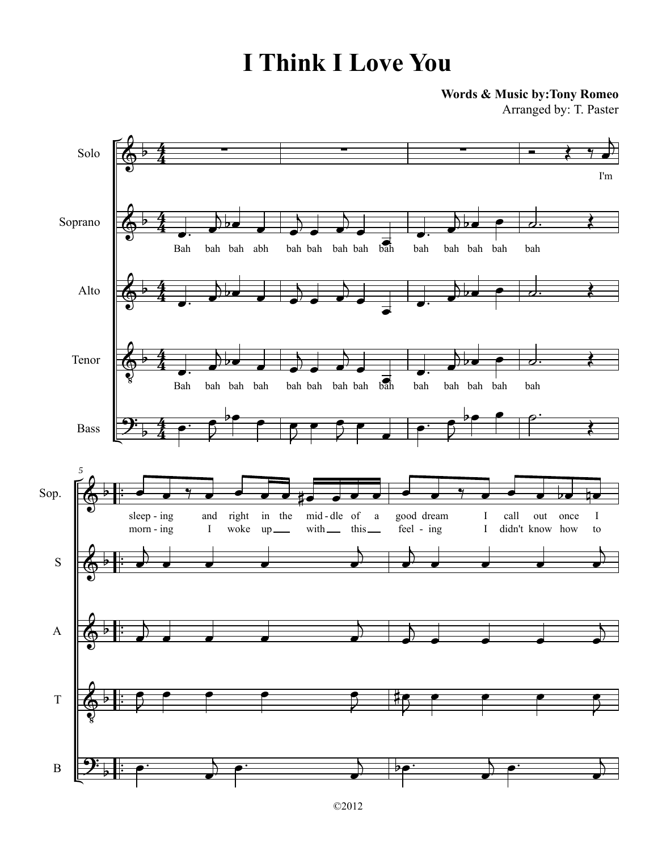**Words & Music by:Tony Romeo**

Arranged by: T. Paster

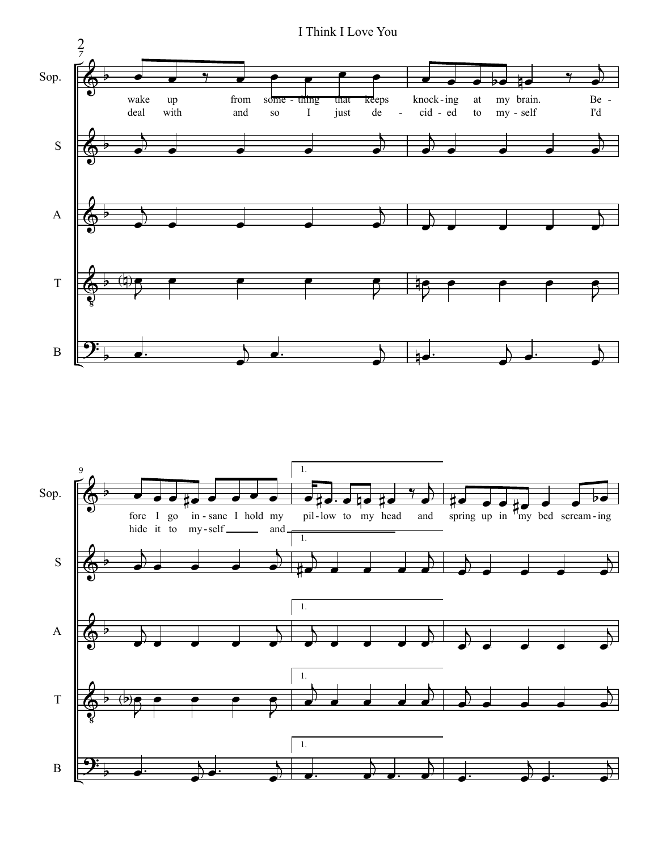

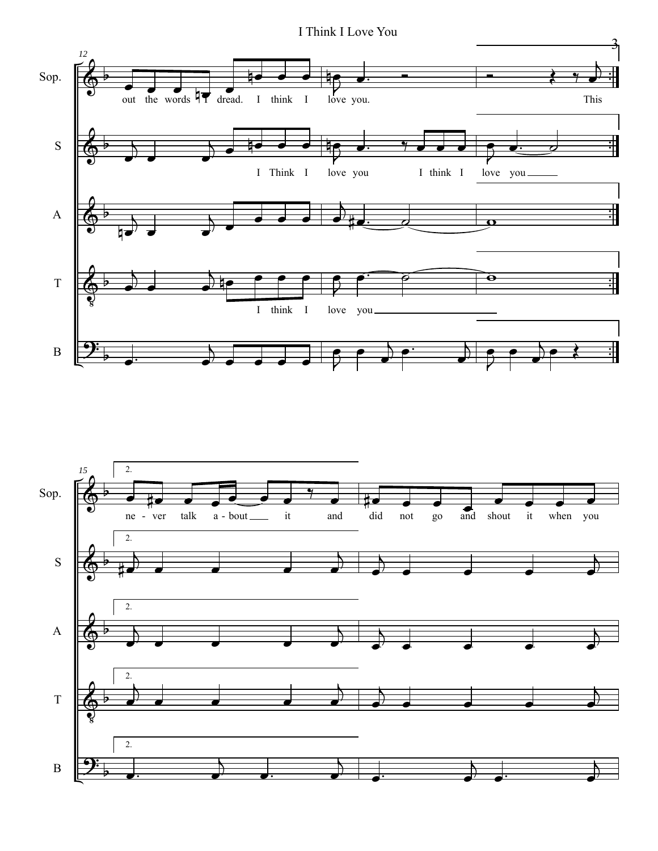I Think I Love You



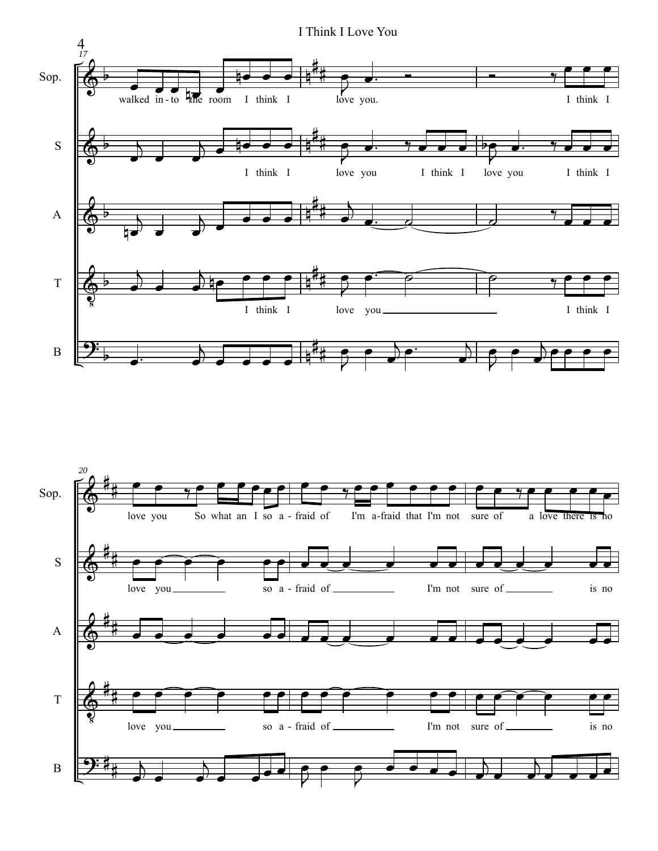

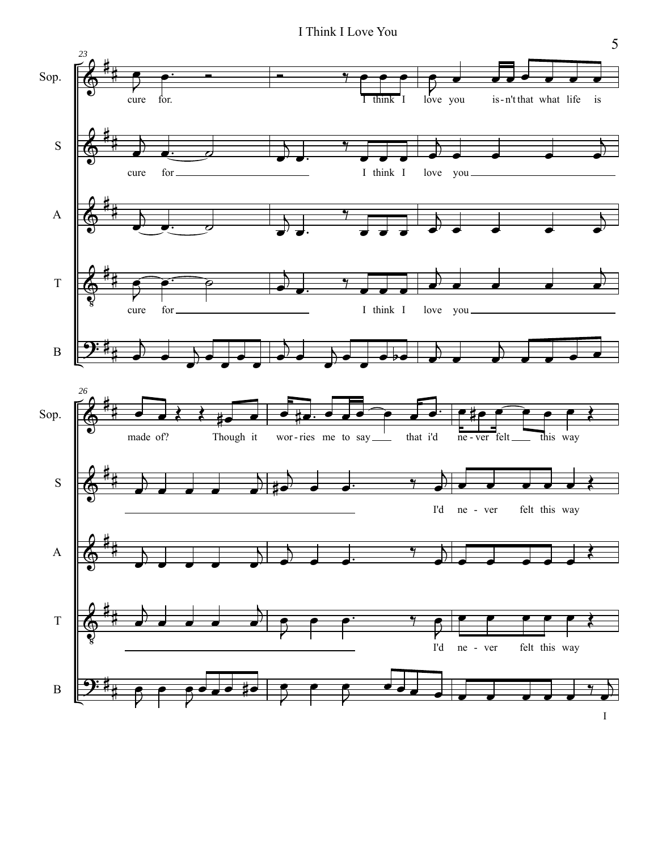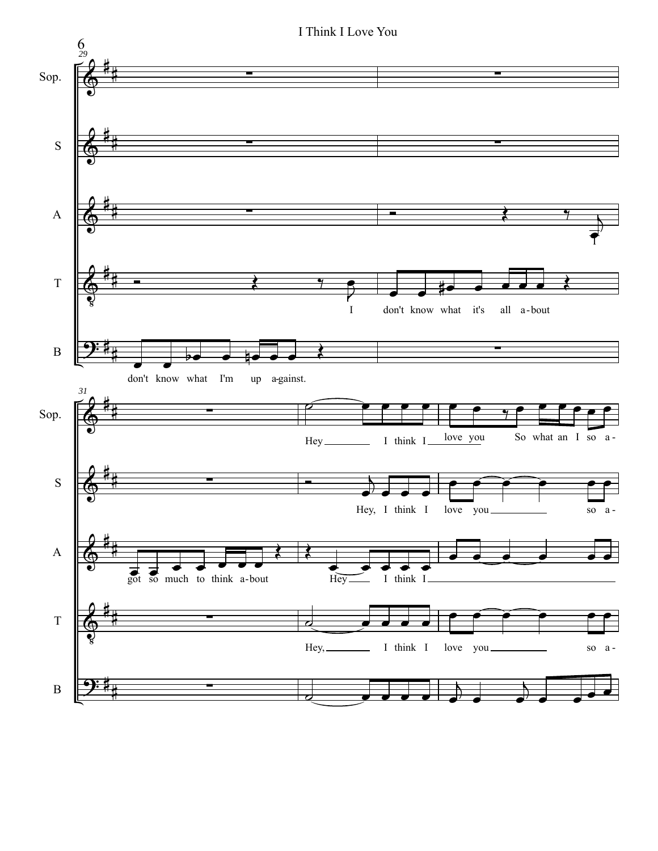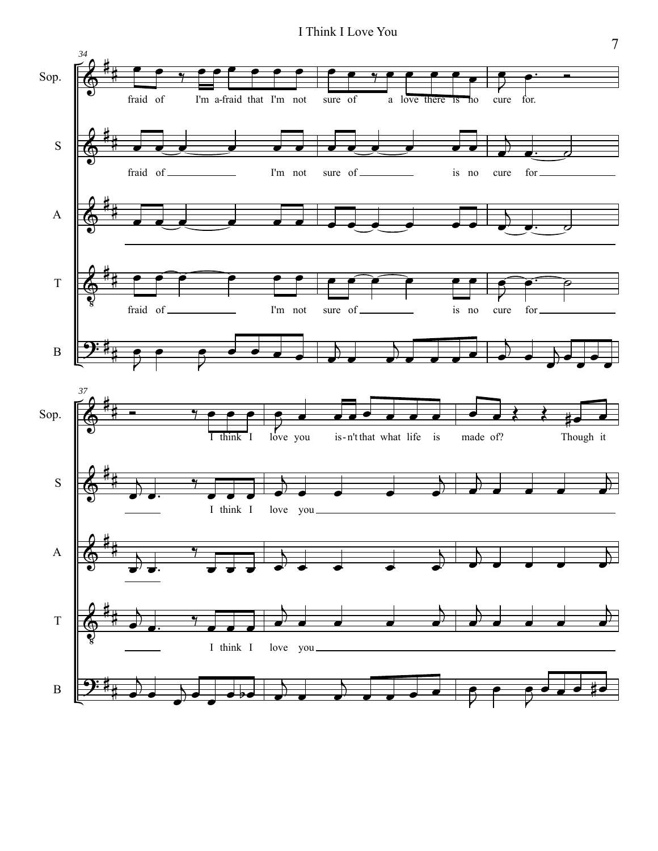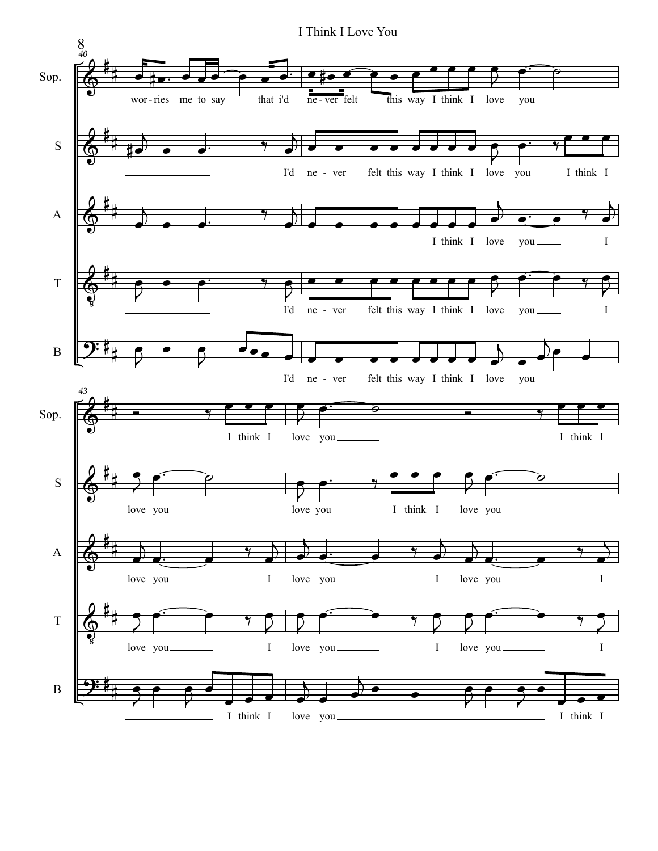